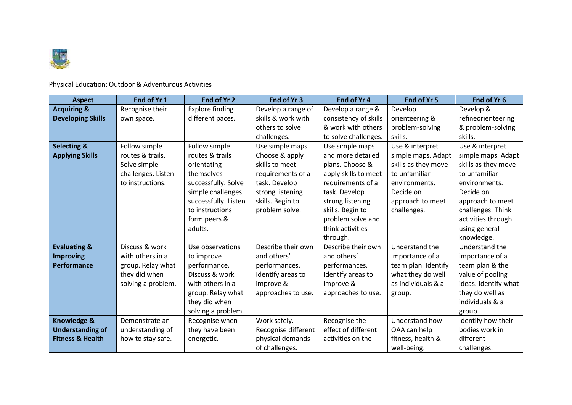

Physical Education: Outdoor & Adventurous Activities

| <b>Aspect</b>                                                                    | End of Yr 1                                                                                    | End of Yr 2                                                                                                                                                                     | End of Yr 3                                                                                                                                                         | End of Yr 4                                                                                                                                                                                                                    | End of Yr 5                                                                                                                                               | End of Yr 6                                                                                                                                                                                            |
|----------------------------------------------------------------------------------|------------------------------------------------------------------------------------------------|---------------------------------------------------------------------------------------------------------------------------------------------------------------------------------|---------------------------------------------------------------------------------------------------------------------------------------------------------------------|--------------------------------------------------------------------------------------------------------------------------------------------------------------------------------------------------------------------------------|-----------------------------------------------------------------------------------------------------------------------------------------------------------|--------------------------------------------------------------------------------------------------------------------------------------------------------------------------------------------------------|
| <b>Acquiring &amp;</b><br><b>Developing Skills</b>                               | Recognise their<br>own space.                                                                  | <b>Explore finding</b><br>different paces.                                                                                                                                      | Develop a range of<br>skills & work with<br>others to solve                                                                                                         | Develop a range &<br>consistency of skills<br>& work with others                                                                                                                                                               | Develop<br>orienteering &<br>problem-solving                                                                                                              | Develop &<br>refineorienteering<br>& problem-solving                                                                                                                                                   |
| <b>Selecting &amp;</b><br><b>Applying Skills</b>                                 | Follow simple<br>routes & trails.<br>Solve simple<br>challenges. Listen<br>to instructions.    | Follow simple<br>routes & trails<br>orientating<br>themselves<br>successfully. Solve<br>simple challenges<br>successfully. Listen<br>to instructions<br>form peers &<br>adults. | challenges.<br>Use simple maps.<br>Choose & apply<br>skills to meet<br>requirements of a<br>task. Develop<br>strong listening<br>skills. Begin to<br>problem solve. | to solve challenges.<br>Use simple maps<br>and more detailed<br>plans. Choose &<br>apply skills to meet<br>requirements of a<br>task. Develop<br>strong listening<br>skills. Begin to<br>problem solve and<br>think activities | skills.<br>Use & interpret<br>simple maps. Adapt<br>skills as they move<br>to unfamiliar<br>environments.<br>Decide on<br>approach to meet<br>challenges. | skills.<br>Use & interpret<br>simple maps. Adapt<br>skills as they move<br>to unfamiliar<br>environments.<br>Decide on<br>approach to meet<br>challenges. Think<br>activities through<br>using general |
| <b>Evaluating &amp;</b><br><b>Improving</b><br>Performance                       | Discuss & work<br>with others in a<br>group. Relay what<br>they did when<br>solving a problem. | Use observations<br>to improve<br>performance.<br>Discuss & work<br>with others in a<br>group. Relay what<br>they did when<br>solving a problem.                                | Describe their own<br>and others'<br>performances.<br>Identify areas to<br>improve &<br>approaches to use.                                                          | through.<br>Describe their own<br>and others'<br>performances.<br>Identify areas to<br>improve &<br>approaches to use.                                                                                                         | Understand the<br>importance of a<br>team plan. Identify<br>what they do well<br>as individuals & a<br>group.                                             | knowledge.<br>Understand the<br>importance of a<br>team plan & the<br>value of pooling<br>ideas. Identify what<br>they do well as<br>individuals & a<br>group.                                         |
| <b>Knowledge &amp;</b><br><b>Understanding of</b><br><b>Fitness &amp; Health</b> | Demonstrate an<br>understanding of<br>how to stay safe.                                        | Recognise when<br>they have been<br>energetic.                                                                                                                                  | Work safely.<br>Recognise different<br>physical demands<br>of challenges.                                                                                           | Recognise the<br>effect of different<br>activities on the                                                                                                                                                                      | Understand how<br>OAA can help<br>fitness, health &<br>well-being.                                                                                        | Identify how their<br>bodies work in<br>different<br>challenges.                                                                                                                                       |